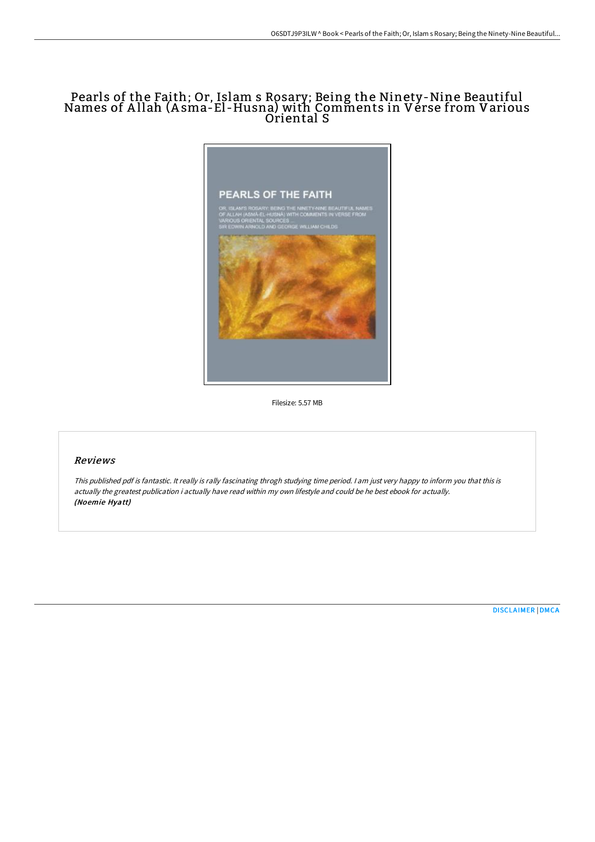# Pearls of the Faith; Or, Islam s Rosary; Being the Ninety-Nine Beautiful Names of A llah (A sma-El -Husna) with Comments in Verse from Various Oriental S



Filesize: 5.57 MB

# Reviews

This published pdf is fantastic. It really is rally fascinating throgh studying time period. <sup>I</sup> am just very happy to inform you that this is actually the greatest publication i actually have read within my own lifestyle and could be he best ebook for actually. (Noemie Hyatt)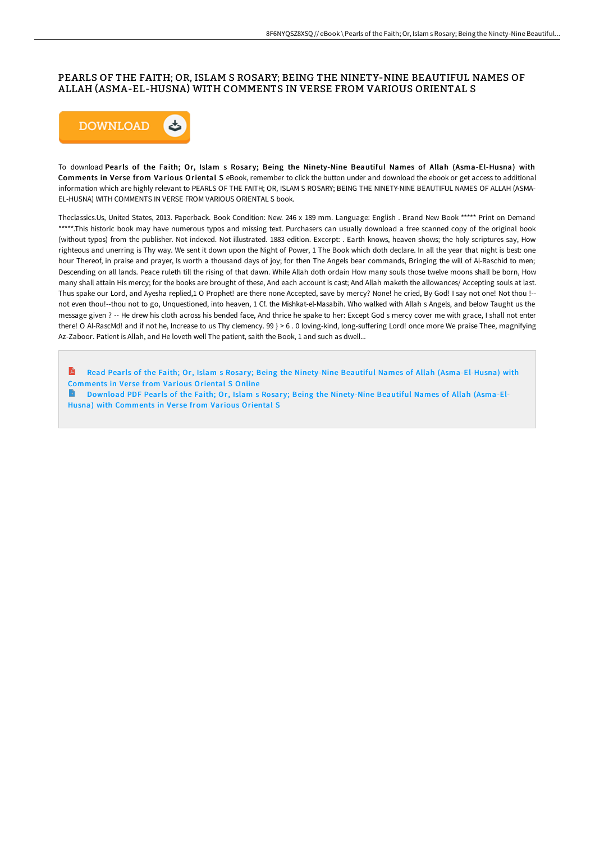## PEARLS OF THE FAITH; OR, ISLAM S ROSARY; BEING THE NINETY-NINE BEAUTIFUL NAMES OF ALLAH (ASMA-EL-HUSNA) WITH COMMENTS IN VERSE FROM VARIOUS ORIENTAL S



To download Pearls of the Faith; Or, Islam s Rosary; Being the Ninety-Nine Beautiful Names of Allah (Asma-El-Husna) with Comments in Verse from Various Oriental S eBook, remember to click the button under and download the ebook or get access to additional information which are highly relevant to PEARLS OF THE FAITH; OR, ISLAM S ROSARY; BEING THE NINETY-NINE BEAUTIFUL NAMES OF ALLAH (ASMA-EL-HUSNA) WITH COMMENTS IN VERSE FROM VARIOUS ORIENTAL S book.

Theclassics.Us, United States, 2013. Paperback. Book Condition: New. 246 x 189 mm. Language: English . Brand New Book \*\*\*\*\* Print on Demand \*\*\*\*\*.This historic book may have numerous typos and missing text. Purchasers can usually download a free scanned copy of the original book (without typos) from the publisher. Not indexed. Not illustrated. 1883 edition. Excerpt: . Earth knows, heaven shows; the holy scriptures say, How righteous and unerring is Thy way. We sent it down upon the Night of Power, 1 The Book which doth declare. In all the year that night is best: one hour Thereof, in praise and prayer, Is worth a thousand days of joy; for then The Angels bear commands, Bringing the will of Al-Raschid to men; Descending on all lands. Peace ruleth till the rising of that dawn. While Allah doth ordain How many souls those twelve moons shall be born, How many shall attain His mercy; for the books are brought of these, And each account is cast; And Allah maketh the allowances/ Accepting souls at last. Thus spake our Lord, and Ayesha replied,1 O Prophet! are there none Accepted, save by mercy? None! he cried, By God! I say not one! Not thou !-not even thou!--thou not to go, Unquestioned, into heaven, 1 Cf. the Mishkat-el-Masabih. Who walked with Allah s Angels, and below Taught us the message given ? -- He drew his cloth across his bended face, And thrice he spake to her: Except God s mercy cover me with grace, I shall not enter there! O Al-RascMd! and if not he, Increase to us Thy clemency. 99 } > 6.0 loving-kind, long-suffering Lord! once more We praise Thee, magnifying Az-Zaboor. Patient is Allah, and He loveth well The patient, saith the Book, 1 and such as dwell...

R Read Pearls of the Faith; Or, Islam s Rosary; Being the Ninety-Nine Beautiful Names of Allah [\(Asma-El-Husna\)](http://albedo.media/pearls-of-the-faith-or-islam-s-rosary-being-the-.html) with Comments in Verse from Various Oriental S Online

Download PDF Pearls of the Faith; Or, Islam s Rosary; Being the [Ninety-Nine](http://albedo.media/pearls-of-the-faith-or-islam-s-rosary-being-the-.html) Beautiful Names of Allah (Asma-El-Husna) with Comments in Verse from Various Oriental S